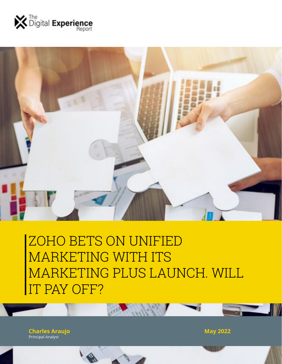



ZOHO BETS ON UNIFIED MARKETING WITH ITS MARKETING PLUS LAUNCH. WILL IT PAY OFF?

**ARK** 

Principal Analyst **Charles Araujo** **May 2022**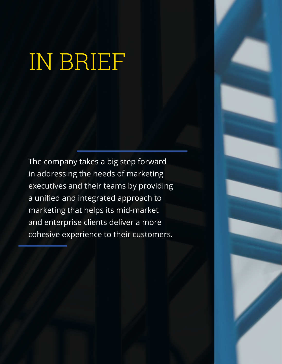## IN BRIEF

The company takes a big step forward in addressing the needs of marketing executives and their teams by providing a unified and integrated approach to marketing that helps its mid-market and enterprise clients deliver a more cohesive experience to their customers.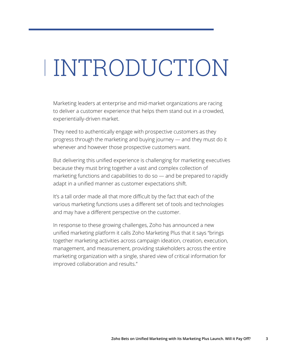# INTRODUCTION

Marketing leaders at enterprise and mid-market organizations are racing to deliver a customer experience that helps them stand out in a crowded, experientially-driven market.

They need to authentically engage with prospective customers as they progress through the marketing and buying journey — and they must do it whenever and however those prospective customers want.

But delivering this unified experience is challenging for marketing executives because they must bring together a vast and complex collection of marketing functions and capabilities to do so — and be prepared to rapidly adapt in a unified manner as customer expectations shift.

It's a tall order made all that more difficult by the fact that each of the various marketing functions uses a different set of tools and technologies and may have a different perspective on the customer.

In response to these growing challenges, Zoho has announced a new unified marketing platform it calls Zoho Marketing Plus that it says "brings together marketing activities across campaign ideation, creation, execution, management, and measurement, providing stakeholders across the entire marketing organization with a single, shared view of critical information for improved collaboration and results."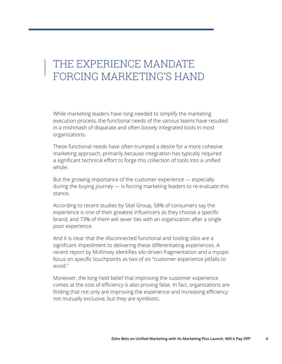### THE EXPERIENCE MANDATE FORCING MARKETING'S HAND

While marketing leaders have long needed to simplify the marketing execution process, the functional needs of the various teams have resulted in a mishmash of disparate and often loosely integrated tools in most organizations.

These functional needs have often trumped a desire for a more cohesive marketing approach, primarily because integration has typically required a significant technical effort to forge this collection of tools into a unified whole.

But the growing importance of the customer experience — especially during the buying journey — is forcing marketing leaders to re-evaluate this stance.

According to recent studies by Sitel Group, 58% of consumers say the experience is one of their greatest influencers as they choose a specific brand, and 73% of them will sever ties with an organization after a single poor experience.

And it is clear that the disconnected functional and tooling silos are a significant impediment to delivering these differentiating experiences. A recent report by McKinsey identifies silo-driven fragmentation and a myopic focus on specific touchpoints as two of six "customer experience pitfalls to avoid."

Moreover, the long-held belief that improving the customer experience comes at the cost of efficiency is also proving false. In fact, organizations are finding that not only are improving the experience and increasing efficiency not mutually exclusive, but they are symbiotic.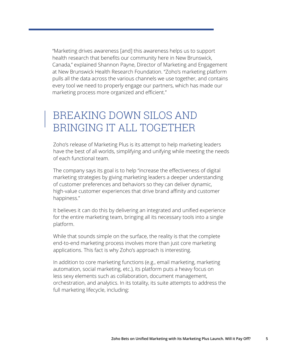"Marketing drives awareness [and] this awareness helps us to support health research that benefits our community here in New Brunswick, Canada," explained Shannon Payne, Director of Marketing and Engagement at New Brunswick Health Research Foundation. "Zoho's marketing platform pulls all the data across the various channels we use together, and contains every tool we need to properly engage our partners, which has made our marketing process more organized and efficient."

#### BREAKING DOWN SILOS AND BRINGING IT ALL TOGETHER

Zoho's release of Marketing Plus is its attempt to help marketing leaders have the best of all worlds, simplifying and unifying while meeting the needs of each functional team.

The company says its goal is to help "increase the effectiveness of digital marketing strategies by giving marketing leaders a deeper understanding of customer preferences and behaviors so they can deliver dynamic, high-value customer experiences that drive brand affinity and customer happiness."

It believes it can do this by delivering an integrated and unified experience for the entire marketing team, bringing all its necessary tools into a single platform.

While that sounds simple on the surface, the reality is that the complete end-to-end marketing process involves more than just core marketing applications. This fact is why Zoho's approach is interesting.

In addition to core marketing functions (e.g., email marketing, marketing automation, social marketing, etc.), its platform puts a heavy focus on less sexy elements such as collaboration, document management, orchestration, and analytics. In its totality, its suite attempts to address the full marketing lifecycle, including: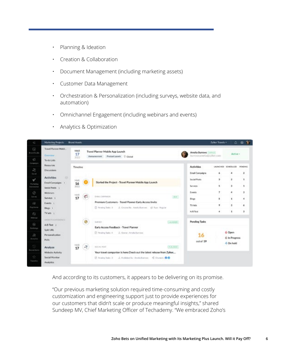- Planning & Ideation
- Creation & Collaboration
- Document Management (including marketing assets)
- Customer Data Management
- Orchestration & Personalization (including surveys, website data, and automation)
- Omnichannel Engagement (including webinars and events)
- Analytics & Optimization



And according to its customers, it appears to be delivering on its promise.

"Our previous marketing solution required time-consuming and costly customization and engineering support just to provide experiences for our customers that didn't scale or produce meaningful insights," shared Sundeep MV, Chief Marketing Officer of Techademy. "We embraced Zoho's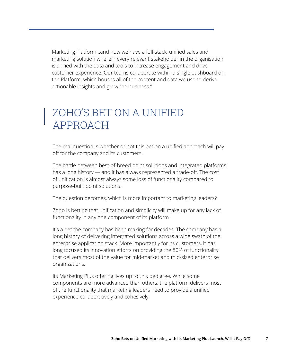Marketing Platform…and now we have a full-stack, unified sales and marketing solution wherein every relevant stakeholder in the organisation is armed with the data and tools to increase engagement and drive customer experience. Our teams collaborate within a single dashboard on the Platform, which houses all of the content and data we use to derive actionable insights and grow the business."

#### ZOHO'S BET ON A UNIFIED APPROACH

The real question is whether or not this bet on a unified approach will pay off for the company and its customers.

The battle between best-of-breed point solutions and integrated platforms has a long history — and it has always represented a trade-off. The cost of unification is almost always some loss of functionality compared to purpose-built point solutions.

The question becomes, which is more important to marketing leaders?

Zoho is betting that unification and simplicity will make up for any lack of functionality in any one component of its platform.

It's a bet the company has been making for decades. The company has a long history of delivering integrated solutions across a wide swath of the enterprise application stack. More importantly for its customers, it has long focused its innovation efforts on providing the 80% of functionality that delivers most of the value for mid-market and mid-sized enterprise organizations.

Its Marketing Plus offering lives up to this pedigree. While some components are more advanced than others, the platform delivers most of the functionality that marketing leaders need to provide a unified experience collaboratively and cohesively.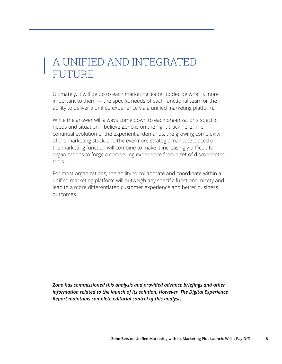#### A UNIFIED AND INTEGRATED FUTURE

Ultimately, it will be up to each marketing leader to decide what is more important to them — the specific needs of each functional team or the ability to deliver a unified experience via a unified marketing platform.

While the answer will always come down to each organization's specific needs and situation, I believe Zoho is on the right track here. The continual evolution of the experiential demands, the growing complexity of the marketing stack, and the evermore strategic mandate placed on the marketing function will combine to make it increasingly difficult for organizations to forge a compelling experience from a set of disconnected tools.

For most organizations, the ability to collaborate and coordinate within a unified marketing platform will outweigh any specific functional nicety and lead to a more differentiated customer experience and better business outcomes.

*Zoho has commissioned this analysis and provided advance briefings and other information related to the launch of its solution. However, The Digital Experience Report maintains complete editorial control of this analysis.*